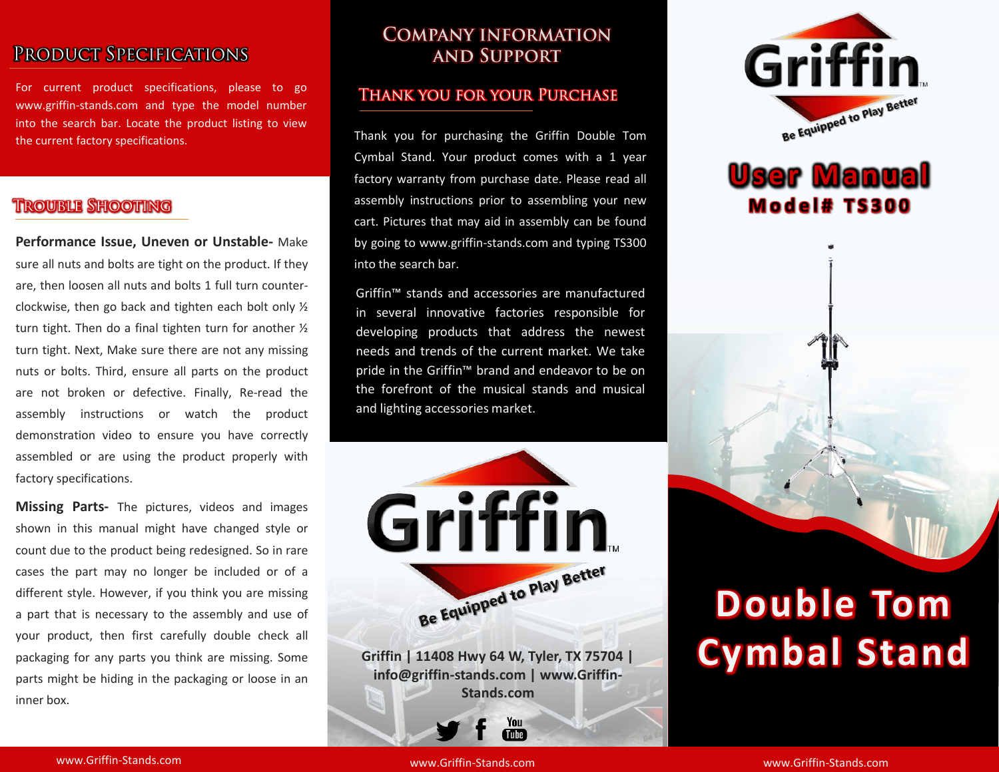## PRODUCT SPECIFICATIONS

For current product specifications, please to go www.griffin-stands.com and type the model number into the search bar. Locate the product listing to view the current factory specifications.

## **TROUBLE SHOOTING**

**Performance Issue, Uneven or Unstable-** Make sure all nuts and bolts are tight on the product. If they are, then loosen all nuts and bolts 1 full turn counterclockwise, then go back and tighten each bolt only ½ turn tight. Then do a final tighten turn for another ½ turn tight. Next, Make sure there are not any missing nuts or bolts. Third, ensure all parts on the product are not broken or defective. Finally, Re-read the assembly instructions or watch the product demonstration video to ensure you have correctly assembled or are using the product properly with factory specifications.

**Missing Parts-** The pictures, videos and images shown in this manual might have changed style or count due to the product being redesigned. So in rare cases the part may no longer be included or of a different style. However, if you think you are missing a part that is necessary to the assembly and use of your product, then first carefully double check all packaging for any parts you think are missing. Some parts might be hiding in the packaging or loose in an inner box.

## **COMPANY INFORMATION AND SUPPORT**

#### **THANK YOU FOR YOUR PURCHASE**

Thank you for purchasing the Griffin Double Tom Cymbal Stand. Your product comes with a 1 year factory warranty from purchase date. Please read all assembly instructions prior to assembling your new cart. Pictures that may aid in assembly can be found by going to www.griffin-stands.com and typing TS300 into the search bar.

Griffin™ stands and accessories are manufactured in several innovative factories responsible for developing products that address the newest needs and trends of the current market. We take pride in the Griffin<sup>™</sup> brand and endeavor to be on the forefront of the musical stands and musical and lighting accessories market.



**Griffin | 11408 Hwy 64 W, Tyler, TX 75704 | info@griffin-stands.com | www.Griffin-Stands.com**

> You Tube<sup>7</sup>



# **User Manual M o d e l # T S 3 0 0**



# **Double Tom Cymbal Stand**

www.Griffin-Stands.com and the stands of the stands.com stands.com stands.com stands.com

www.Griffin-Stands.com